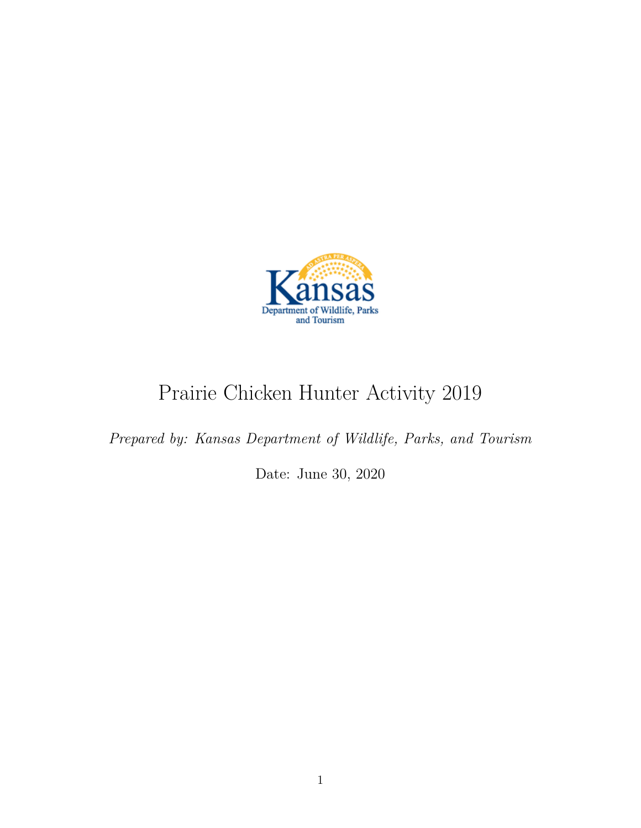

# Prairie Chicken Hunter Activity 2019

*Prepared by: Kansas Department of Wildlife, Parks, and Tourism*

Date: June 30, 2020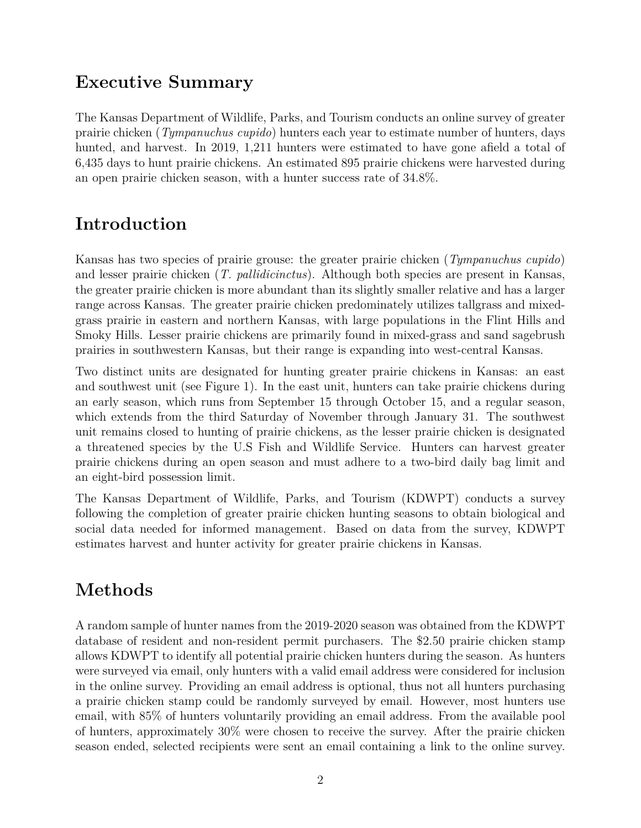### **Executive Summary**

The Kansas Department of Wildlife, Parks, and Tourism conducts an online survey of greater prairie chicken (*Tympanuchus cupido*) hunters each year to estimate number of hunters, days hunted, and harvest. In 2019, 1,211 hunters were estimated to have gone afield a total of 6,435 days to hunt prairie chickens. An estimated 895 prairie chickens were harvested during an open prairie chicken season, with a hunter success rate of 34.8%.

### **Introduction**

Kansas has two species of prairie grouse: the greater prairie chicken (*Tympanuchus cupido*) and lesser prairie chicken (*T. pallidicinctus*). Although both species are present in Kansas, the greater prairie chicken is more abundant than its slightly smaller relative and has a larger range across Kansas. The greater prairie chicken predominately utilizes tallgrass and mixedgrass prairie in eastern and northern Kansas, with large populations in the Flint Hills and Smoky Hills. Lesser prairie chickens are primarily found in mixed-grass and sand sagebrush prairies in southwestern Kansas, but their range is expanding into west-central Kansas.

Two distinct units are designated for hunting greater prairie chickens in Kansas: an east and southwest unit (see Figure 1). In the east unit, hunters can take prairie chickens during an early season, which runs from September 15 through October 15, and a regular season, which extends from the third Saturday of November through January 31. The southwest unit remains closed to hunting of prairie chickens, as the lesser prairie chicken is designated a threatened species by the U.S Fish and Wildlife Service. Hunters can harvest greater prairie chickens during an open season and must adhere to a two-bird daily bag limit and an eight-bird possession limit.

The Kansas Department of Wildlife, Parks, and Tourism (KDWPT) conducts a survey following the completion of greater prairie chicken hunting seasons to obtain biological and social data needed for informed management. Based on data from the survey, KDWPT estimates harvest and hunter activity for greater prairie chickens in Kansas.

## **Methods**

A random sample of hunter names from the 2019-2020 season was obtained from the KDWPT database of resident and non-resident permit purchasers. The \$2.50 prairie chicken stamp allows KDWPT to identify all potential prairie chicken hunters during the season. As hunters were surveyed via email, only hunters with a valid email address were considered for inclusion in the online survey. Providing an email address is optional, thus not all hunters purchasing a prairie chicken stamp could be randomly surveyed by email. However, most hunters use email, with 85% of hunters voluntarily providing an email address. From the available pool of hunters, approximately 30% were chosen to receive the survey. After the prairie chicken season ended, selected recipients were sent an email containing a link to the online survey.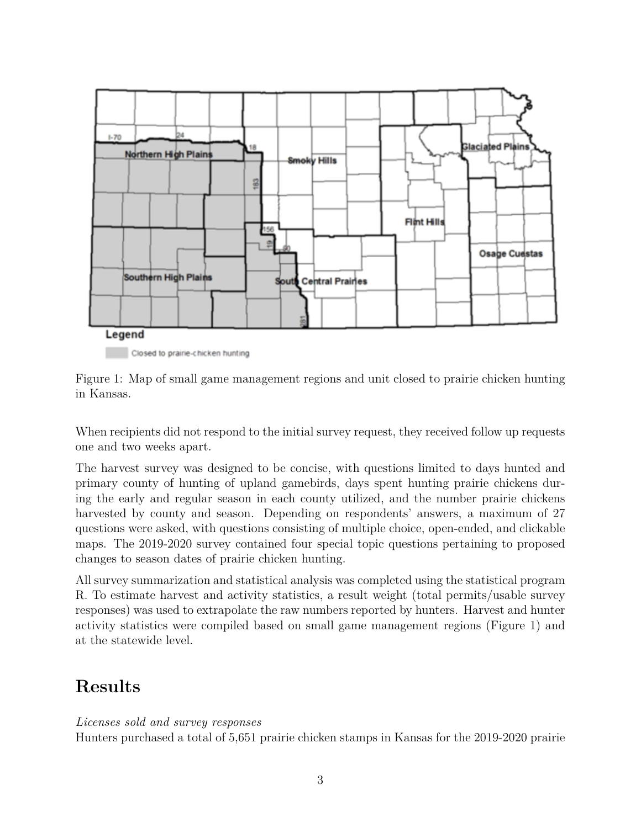

Closed to prairie-chicken hunting

Figure 1: Map of small game management regions and unit closed to prairie chicken hunting in Kansas.

When recipients did not respond to the initial survey request, they received follow up requests one and two weeks apart.

The harvest survey was designed to be concise, with questions limited to days hunted and primary county of hunting of upland gamebirds, days spent hunting prairie chickens during the early and regular season in each county utilized, and the number prairie chickens harvested by county and season. Depending on respondents' answers, a maximum of 27 questions were asked, with questions consisting of multiple choice, open-ended, and clickable maps. The 2019-2020 survey contained four special topic questions pertaining to proposed changes to season dates of prairie chicken hunting.

All survey summarization and statistical analysis was completed using the statistical program R. To estimate harvest and activity statistics, a result weight (total permits/usable survey responses) was used to extrapolate the raw numbers reported by hunters. Harvest and hunter activity statistics were compiled based on small game management regions (Figure 1) and at the statewide level.

### **Results**

#### *Licenses sold and survey responses*

Hunters purchased a total of 5,651 prairie chicken stamps in Kansas for the 2019-2020 prairie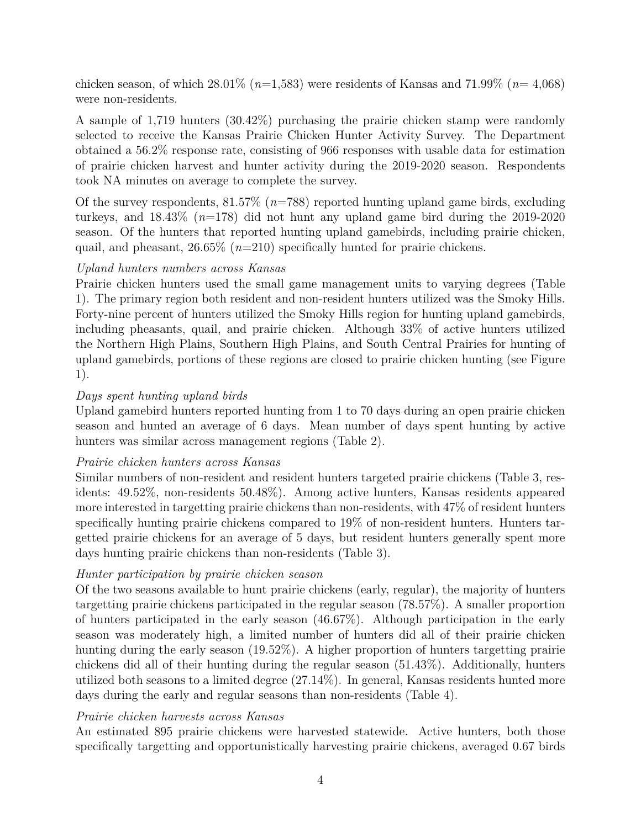chicken season, of which 28.01% (*n*=1,583) were residents of Kansas and 71.99% (*n*= 4,068) were non-residents.

A sample of 1,719 hunters (30.42%) purchasing the prairie chicken stamp were randomly selected to receive the Kansas Prairie Chicken Hunter Activity Survey. The Department obtained a 56.2% response rate, consisting of 966 responses with usable data for estimation of prairie chicken harvest and hunter activity during the 2019-2020 season. Respondents took NA minutes on average to complete the survey.

Of the survey respondents, 81.57% (*n*=788) reported hunting upland game birds, excluding turkeys, and 18.43% (*n*=178) did not hunt any upland game bird during the 2019-2020 season. Of the hunters that reported hunting upland gamebirds, including prairie chicken, quail, and pheasant, 26.65% (*n*=210) specifically hunted for prairie chickens.

#### *Upland hunters numbers across Kansas*

Prairie chicken hunters used the small game management units to varying degrees (Table 1). The primary region both resident and non-resident hunters utilized was the Smoky Hills. Forty-nine percent of hunters utilized the Smoky Hills region for hunting upland gamebirds, including pheasants, quail, and prairie chicken. Although 33% of active hunters utilized the Northern High Plains, Southern High Plains, and South Central Prairies for hunting of upland gamebirds, portions of these regions are closed to prairie chicken hunting (see Figure 1).

#### *Days spent hunting upland birds*

Upland gamebird hunters reported hunting from 1 to 70 days during an open prairie chicken season and hunted an average of 6 days. Mean number of days spent hunting by active hunters was similar across management regions (Table 2).

#### *Prairie chicken hunters across Kansas*

Similar numbers of non-resident and resident hunters targeted prairie chickens (Table 3, residents: 49.52%, non-residents 50.48%). Among active hunters, Kansas residents appeared more interested in targetting prairie chickens than non-residents, with 47% of resident hunters specifically hunting prairie chickens compared to 19% of non-resident hunters. Hunters targetted prairie chickens for an average of 5 days, but resident hunters generally spent more days hunting prairie chickens than non-residents (Table 3).

#### *Hunter participation by prairie chicken season*

Of the two seasons available to hunt prairie chickens (early, regular), the majority of hunters targetting prairie chickens participated in the regular season (78.57%). A smaller proportion of hunters participated in the early season (46.67%). Although participation in the early season was moderately high, a limited number of hunters did all of their prairie chicken hunting during the early season (19.52%). A higher proportion of hunters targetting prairie chickens did all of their hunting during the regular season (51.43%). Additionally, hunters utilized both seasons to a limited degree (27.14%). In general, Kansas residents hunted more days during the early and regular seasons than non-residents (Table 4).

#### *Prairie chicken harvests across Kansas*

An estimated 895 prairie chickens were harvested statewide. Active hunters, both those specifically targetting and opportunistically harvesting prairie chickens, averaged 0.67 birds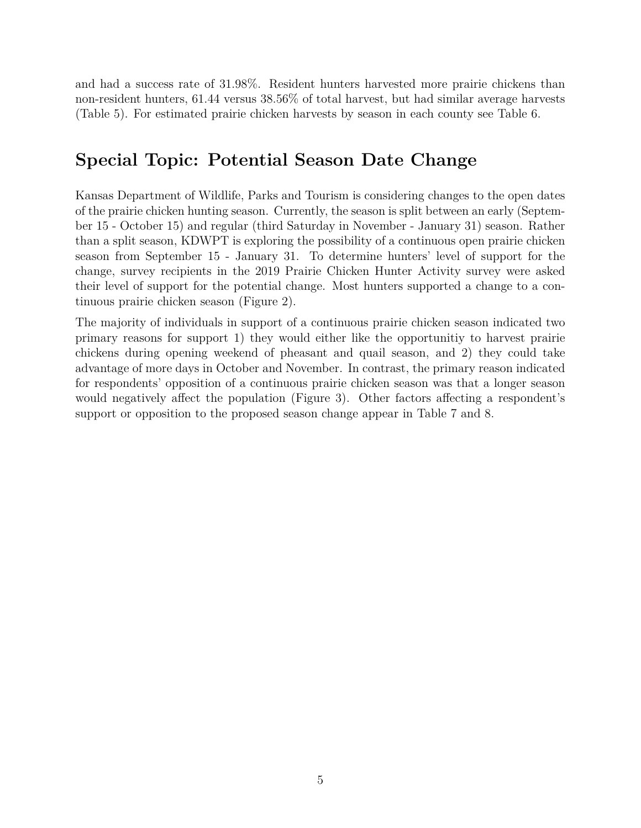and had a success rate of 31.98%. Resident hunters harvested more prairie chickens than non-resident hunters, 61.44 versus 38.56% of total harvest, but had similar average harvests (Table 5). For estimated prairie chicken harvests by season in each county see Table 6.

### **Special Topic: Potential Season Date Change**

Kansas Department of Wildlife, Parks and Tourism is considering changes to the open dates of the prairie chicken hunting season. Currently, the season is split between an early (September 15 - October 15) and regular (third Saturday in November - January 31) season. Rather than a split season, KDWPT is exploring the possibility of a continuous open prairie chicken season from September 15 - January 31. To determine hunters' level of support for the change, survey recipients in the 2019 Prairie Chicken Hunter Activity survey were asked their level of support for the potential change. Most hunters supported a change to a continuous prairie chicken season (Figure 2).

The majority of individuals in support of a continuous prairie chicken season indicated two primary reasons for support 1) they would either like the opportunitiy to harvest prairie chickens during opening weekend of pheasant and quail season, and 2) they could take advantage of more days in October and November. In contrast, the primary reason indicated for respondents' opposition of a continuous prairie chicken season was that a longer season would negatively affect the population (Figure 3). Other factors affecting a respondent's support or opposition to the proposed season change appear in Table 7 and 8.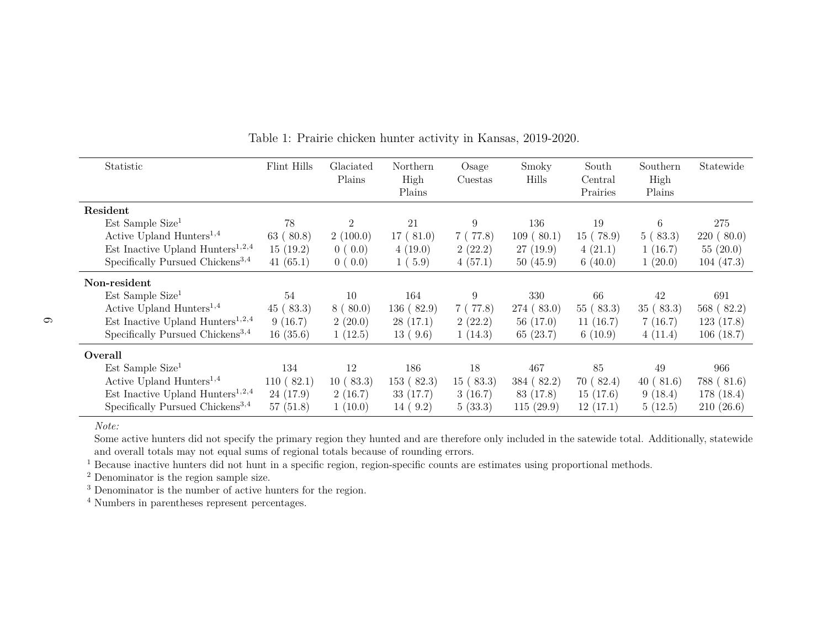| Statistic                                    | Flint Hills | Glaciated<br>Plains | Northern<br>High<br>Plains | Osage<br>Cuestas | Smoky<br>Hills | South<br>Central<br>Prairies | Southern<br>High<br>Plains | Statewide  |
|----------------------------------------------|-------------|---------------------|----------------------------|------------------|----------------|------------------------------|----------------------------|------------|
| Resident                                     |             |                     |                            |                  |                |                              |                            |            |
| Est Sample Size <sup>1</sup>                 | 78          | 2                   | 21                         | 9                | 136            | 19                           | 6                          | 275        |
| Active Upland Hunters <sup>1,4</sup>         | 63(80.8)    | 2(100.0)            | 17(81.0)                   | 7(77.8)          | 109(80.1)      | 15(78.9)                     | 5(83.3)                    | 220(80.0)  |
| Est Inactive Upland Hunters <sup>1,2,4</sup> | 15(19.2)    | 0(0.0)              | 4(19.0)                    | 2(22.2)          | 27(19.9)       | 4(21.1)                      | 1(16.7)                    | 55(20.0)   |
| Specifically Pursued Chickens <sup>3,4</sup> | 41 $(65.1)$ | 0(0.0)              | 1(5.9)                     | 4(57.1)          | 50(45.9)       | 6(40.0)                      | 1(20.0)                    | 104(47.3)  |
| Non-resident                                 |             |                     |                            |                  |                |                              |                            |            |
| $Est$ Sample Size <sup>1</sup>               | 54          | 10                  | 164                        | 9                | 330            | 66                           | 42                         | 691        |
| Active Upland Hunters <sup>1,4</sup>         | 45(83.3)    | 8(80.0)             | 136(82.9)                  | 7(77.8)          | 274(83.0)      | 55(83.3)                     | 35(83.3)                   | 568 (82.2) |
| Est Inactive Upland Hunters <sup>1,2,4</sup> | 9(16.7)     | 2(20.0)             | 28(17.1)                   | 2(22.2)          | 56(17.0)       | 11(16.7)                     | 7(16.7)                    | 123(17.8)  |
| Specifically Pursued Chickens <sup>3,4</sup> | 16(35.6)    | 1(12.5)             | 13(9.6)                    | 1(14.3)          | 65(23.7)       | 6(10.9)                      | 4(11.4)                    | 106(18.7)  |
| Overall                                      |             |                     |                            |                  |                |                              |                            |            |
| $Est$ Sample Size <sup>1</sup>               | 134         | 12                  | 186                        | 18               | 467            | 85                           | 49                         | 966        |
| Active Upland Hunters <sup>1,4</sup>         | 110(82.1)   | 10(83.3)            | 153(82.3)                  | 15(83.3)         | 384(82.2)      | 70(82.4)                     | (81.6)<br>40 (             | 788 (81.6) |
| Est Inactive Upland Hunters <sup>1,2,4</sup> | 24(17.9)    | 2(16.7)             | 33(17.7)                   | 3(16.7)          | 83 (17.8)      | 15(17.6)                     | 9(18.4)                    | 178 (18.4) |
| Specifically Pursued Chickens <sup>3,4</sup> | 57(51.8)    | 1(10.0)             | 14(9.2)                    | 5(33.3)          | 115(29.9)      | 12(17.1)                     | 5(12.5)                    | 210(26.6)  |

Table 1: Prairie chicken hunter activity in Kansas, 2019-2020.

 Some active hunters did not specify the primary region they hunted and are therefore only included in the satewide total. Additionally, statewideand overall totals may not equal sums of regional totals because of rounding errors.

<sup>1</sup> Because inactive hunters did not hunt in a specific region, region-specific counts are estimates using proportional methods.

<sup>2</sup> Denominator is the region sample size.

<sup>3</sup> Denominator is the number of active hunters for the region.

<sup>4</sup> Numbers in parentheses represent percentages.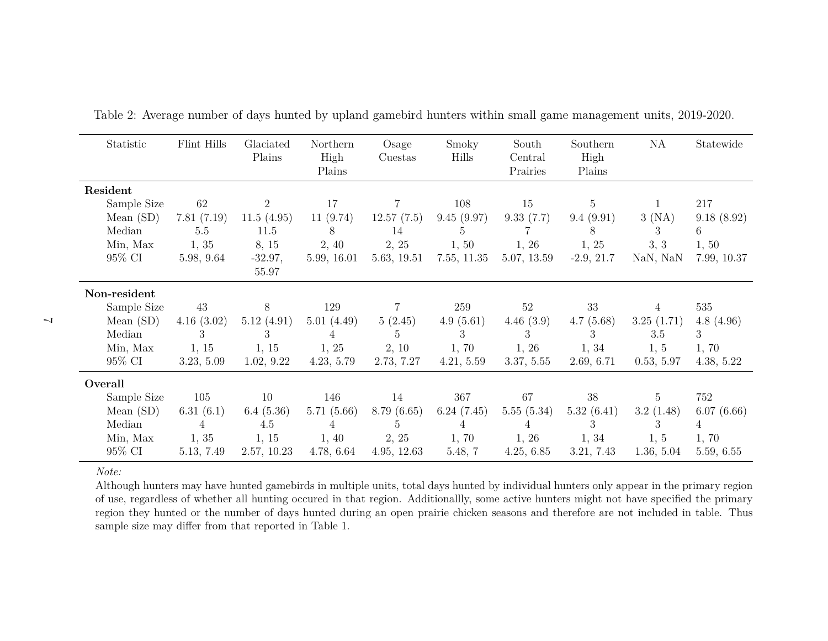| Statistic    | Flint Hills | Glaciated<br>Plains | Northern<br>High<br>Plains | Osage<br>Cuestas | Smoky<br>Hills | South<br>Central<br>Prairies | Southern<br>High<br>Plains | NA              | Statewide   |
|--------------|-------------|---------------------|----------------------------|------------------|----------------|------------------------------|----------------------------|-----------------|-------------|
| Resident     |             |                     |                            |                  |                |                              |                            |                 |             |
| Sample Size  | 62          | $\overline{2}$      | 17                         | 7                | 108            | 15                           | 5                          |                 | 217         |
| Mean $(SD)$  | 7.81(7.19)  | 11.5(4.95)          | 11(9.74)                   | 12.57(7.5)       | 9.45(9.97)     | 9.33(7.7)                    | 9.4(9.91)                  | 3(NA)           | 9.18(8.92)  |
| Median       | 5.5         | 11.5                | 8                          | 14               | 5              |                              | 8                          | 3               | 6           |
| Min, Max     | 1, 35       | 8, 15               | 2, 40                      | 2, 25            | 1, 50          | 1, 26                        | 1, 25                      | 3, 3            | 1, 50       |
| 95% CI       | 5.98, 9.64  | $-32.97,$<br>55.97  | 5.99, 16.01                | 5.63, 19.51      | 7.55, 11.35    | 5.07, 13.59                  | $-2.9, 21.7$               | NaN, NaN        | 7.99, 10.37 |
| Non-resident |             |                     |                            |                  |                |                              |                            |                 |             |
| Sample Size  | 43          | 8                   | 129                        | $\overline{7}$   | 259            | 52                           | 33                         | 4               | 535         |
| Mean $(SD)$  | 4.16(3.02)  | 5.12(4.91)          | 5.01(4.49)                 | 5(2.45)          | 4.9(5.61)      | 4.46(3.9)                    | 4.7(5.68)                  | 3.25(1.71)      | 4.8(4.96)   |
| Median       | 3           | 3                   | 4                          | 5                | 3              | 3                            | 3                          | 3.5             | 3           |
| Min, Max     | 1, 15       | 1, 15               | 1, 25                      | 2, 10            | 1,70           | 1, 26                        | 1, 34                      | 1, 5            | 1, 70       |
| 95% CI       | 3.23, 5.09  | 1.02, 9.22          | 4.23, 5.79                 | 2.73, 7.27       | 4.21, 5.59     | 3.37, 5.55                   | 2.69, 6.71                 | 0.53, 5.97      | 4.38, 5.22  |
| Overall      |             |                     |                            |                  |                |                              |                            |                 |             |
| Sample Size  | 105         | 10                  | 146                        | 14               | 367            | 67                           | 38                         | $5\phantom{.0}$ | 752         |
| Mean $(SD)$  | 6.31(6.1)   | 6.4(5.36)           | 5.71(5.66)                 | 8.79(6.65)       | 6.24(7.45)     | 5.55(5.34)                   | 5.32(6.41)                 | 3.2(1.48)       | 6.07(6.66)  |
| Median       | 4           | 4.5                 | $\overline{4}$             | 5                | 4              | $\overline{A}$               | 3                          | 3               | 4           |
| Min, Max     | 1, 35       | 1, 15               | 1, 40                      | 2, 25            | 1, 70          | 1, 26                        | 1, 34                      | 1, 5            | 1,70        |
| 95% CI       | 5.13, 7.49  | 2.57, 10.23         | 4.78, 6.64                 | 4.95, 12.63      | 5.48, 7        | 4.25, 6.85                   | 3.21, 7.43                 | 1.36, 5.04      | 5.59, 6.55  |

|  |  | Table 2: Average number of days hunted by upland gamebird hunters within small game management units, 2019-2020. |  |  |
|--|--|------------------------------------------------------------------------------------------------------------------|--|--|
|  |  |                                                                                                                  |  |  |

 Although hunters may have hunted gamebirds in multiple units, total days hunted by individual hunters only appear in the primary region of use, regardless of whether all hunting occured in that region. Additionallly, some active hunters might not have specified the primary region they hunted or the number of days hunted during an open prairie chicken seasons and therefore are not included in table. Thussample size may differ from that reported in Table 1.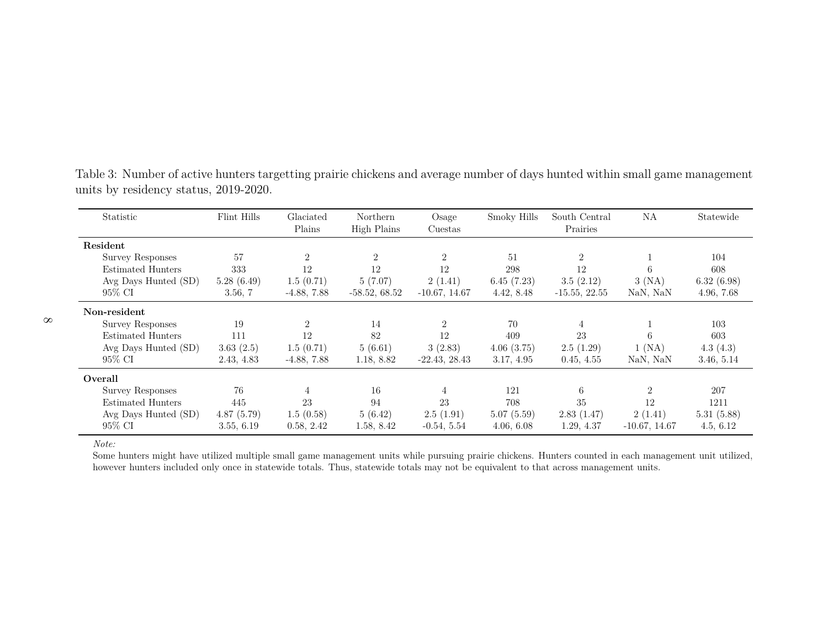| Statistic               | Flint Hills | Glaciated<br>Plains | <b>Northern</b><br>High Plains | Osage<br>Cuestas | Smoky Hills | South Central<br>Prairies | ΝA                          | Statewide  |
|-------------------------|-------------|---------------------|--------------------------------|------------------|-------------|---------------------------|-----------------------------|------------|
| Resident                |             |                     |                                |                  |             |                           |                             |            |
| Survey Responses        | 57          | $\overline{2}$      | $\overline{2}$                 | $\overline{2}$   | -51         | $\overline{2}$            |                             | 104        |
| Estimated Hunters       | 333         | 12                  | 12                             | 12               | 298         | 12                        | 6                           | 608        |
| Avg Days Hunted (SD)    | 5.28(6.49)  | 1.5(0.71)           | 5(7.07)                        | 2(1.41)          | 6.45(7.23)  | 3.5(2.12)                 | 3(NA)                       | 6.32(6.98) |
| 95% CI                  | 3.56, 7     | $-4.88, 7.88$       | $-58.52, 68.52$                | $-10.67, 14.67$  | 4.42, 8.48  | $-15.55, 22.55$           | NaN, NaN                    | 4.96, 7.68 |
| Non-resident            |             |                     |                                |                  |             |                           |                             |            |
| <b>Survey Responses</b> | 19          | $\overline{2}$      | 14                             | 2                | 70          | 4                         |                             | 103        |
| Estimated Hunters       | 111         | 12                  | 82                             | 12               | 409         | 23                        | 6                           | 603        |
| Avg Days Hunted (SD)    | 3.63(2.5)   | 1.5(0.71)           | 5(6.61)                        | 3(2.83)          | 4.06(3.75)  | 2.5(1.29)                 | 1 (NA)                      | 4.3(4.3)   |
| 95% CI                  | 2.43, 4.83  | $-4.88, 7.88$       | 1.18, 8.82                     | $-22.43, 28.43$  | 3.17, 4.95  | 0.45, 4.55                | NaN, NaN                    | 3.46, 5.14 |
| Overall                 |             |                     |                                |                  |             |                           |                             |            |
| Survey Responses        | 76          | 4                   | 16                             | $\overline{4}$   | 121         | 6                         | $\mathcal{D}_{\mathcal{L}}$ | 207        |
| Estimated Hunters       | 445         | 23                  | 94                             | 23               | 708         | 35                        | 12                          | 1211       |
| Avg Days Hunted (SD)    | 4.87(5.79)  | 1.5(0.58)           | 5(6.42)                        | 2.5(1.91)        | 5.07(5.59)  | 2.83(1.47)                | 2(1.41)                     | 5.31(5.88) |
| 95% CI                  | 3.55, 6.19  | 0.58, 2.42          | 1.58, 8.42                     | $-0.54, 5.54$    | 4.06, 6.08  | 1.29, 4.37                | $-10.67, 14.67$             | 4.5, 6.12  |

Table 3: Number of active hunters targetting prairie chickens and average number of days hunted within small game managementunits by residency status, 2019-2020.

*Note:*

 Some hunters might have utilized multiple small game management units while pursuing prairie chickens. Hunters counted in each management unit utilized,however hunters included only once in statewide totals. Thus, statewide totals may not be equivalent to that across management units.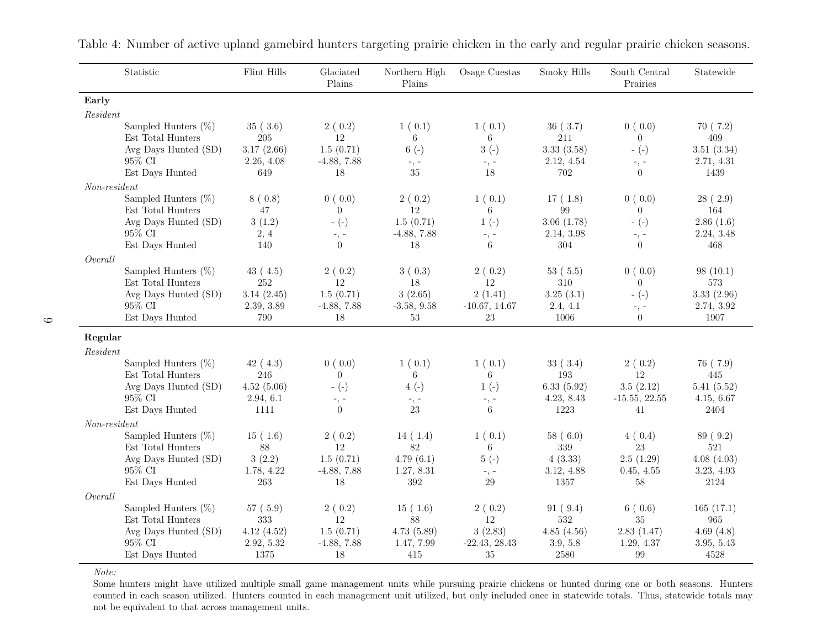|                | Statistic                                 | Flint Hills              | Glaciated<br>Plains | Northern High<br>Plains  | Osage Cuestas         | Smoky Hills       | South Central<br>Prairies   | Statewide                |
|----------------|-------------------------------------------|--------------------------|---------------------|--------------------------|-----------------------|-------------------|-----------------------------|--------------------------|
| Early          |                                           |                          |                     |                          |                       |                   |                             |                          |
| Resident       |                                           |                          |                     |                          |                       |                   |                             |                          |
|                | Sampled Hunters $(\%)$                    | 35(3.6)                  | 2(0.2)              | 1(0.1)                   | 1(0.1)                | 36(3.7)           | 0(0.0)                      | 70(7.2)                  |
|                | Est Total Hunters                         | 205                      | 12                  | 6                        | 6                     | 211               | $\Omega$                    | 409                      |
|                | Avg Days Hunted (SD)                      | 3.17(2.66)               | 1.5(0.71)           | $6(-)$                   | $3(-)$                | 3.33(3.58)        | $-(-)$                      | 3.51(3.34)               |
|                | 95% CI<br>Est Days Hunted                 | 2.26, 4.08<br>649        | $-4.88, 7.88$<br>18 | $-$ , $-$<br>35          | $-$ , $-$<br>18       | 2.12, 4.54<br>702 | $-$ , $-$<br>$\theta$       | 2.71, 4.31<br>1439       |
|                |                                           |                          |                     |                          |                       |                   |                             |                          |
| $Non-resident$ | Sampled Hunters $(\%)$                    | 8(0.8)                   | 0(0.0)              | 2(0.2)                   | 1(0.1)                | 17(1.8)           | 0(0.0)                      | 28(2.9)                  |
|                | Est Total Hunters                         | 47                       | $\theta$            | 12                       | 6                     | 99                | $\overline{0}$              | 164                      |
|                | Avg Days Hunted (SD)                      | 3(1.2)                   | $-(-)$              | 1.5(0.71)                | $1(-)$                | 3.06(1.78)        | $-(-)$                      | 2.86(1.6)                |
|                | 95% CI                                    | 2, 4                     | $-$ , $-$           | $-4.88, 7.88$            | $-$ , $-$             | 2.14, 3.98        | $-$ , $-$                   | 2.24, 3.48               |
|                | Est Days Hunted                           | 140                      | $\Omega$            | 18                       | 6                     | 304               | $\theta$                    | 468                      |
| Overall        |                                           |                          |                     |                          |                       |                   |                             |                          |
|                | Sampled Hunters $(\%)$                    | 43(4.5)                  | 2(0.2)              | 3(0.3)                   | 2(0.2)                | 53(5.5)           | 0(0.0)                      | 98(10.1)                 |
|                | Est Total Hunters                         | 252                      | 12                  | $18\,$                   | 12                    | 310               | $\overline{0}$              | 573                      |
|                | Avg Days Hunted (SD)<br>95% CI            | 3.14(2.45)<br>2.39, 3.89 | 1.5(0.71)           | 3(2.65)<br>$-3.58, 9.58$ | 2(1.41)               | 3.25(3.1)         | $-(-)$                      | 3.33(2.96)<br>2.74, 3.92 |
|                | Est Days Hunted                           | 790                      | $-4.88, 7.88$<br>18 | 53                       | $-10.67, 14.67$<br>23 | 2.4, 4.1<br>1006  | $-$ , $-$<br>$\overline{0}$ | 1907                     |
|                |                                           |                          |                     |                          |                       |                   |                             |                          |
| Regular        |                                           |                          |                     |                          |                       |                   |                             |                          |
| Resident       |                                           |                          |                     |                          |                       |                   |                             |                          |
|                | Sampled Hunters $(\%)$                    | 42(4.3)                  | 0(0.0)              | 1(0.1)                   | 1(0.1)                | 33(3.4)           | 2(0.2)                      | 76 (7.9)                 |
|                | Est Total Hunters<br>Avg Days Hunted (SD) | 246<br>4.52(5.06)        | $\Omega$<br>$-(-)$  | 6<br>$4(-)$              | 6<br>$1(-)$           | 193<br>6.33(5.92) | 12<br>3.5(2.12)             | 445<br>5.41(5.52)        |
|                | 95% CI                                    | 2.94, 6.1                | $-$ , $-$           | $-$ , $-$                | $-$ , $-$             | 4.23, 8.43        | $-15.55, 22.55$             | 4.15, 6.67               |
|                | Est Days Hunted                           | 1111                     | $\Omega$            | 23                       | 6                     | 1223              | 41                          | 2404                     |
| Non-resident   |                                           |                          |                     |                          |                       |                   |                             |                          |
|                | Sampled Hunters $(\%)$                    | 15(1.6)                  | 2(0.2)              | 14(1.4)                  | 1(0.1)                | 58(6.0)           | 4(0.4)                      | 89 (9.2)                 |
|                | Est Total Hunters                         | 88                       | 12                  | 82                       | 6                     | 339               | 23                          | 521                      |
|                | Avg Days Hunted (SD)                      | 3(2.2)                   | 1.5(0.71)           | 4.79(6.1)                | $5(-)$                | 4(3.33)           | 2.5(1.29)                   | 4.08(4.03)               |
|                | 95% CI                                    | 1.78, 4.22               | $-4.88, 7.88$       | 1.27, 8.31               | $-$ , $-$             | 3.12, 4.88        | 0.45, 4.55                  | 3.23, 4.93               |
|                | Est Days Hunted                           | 263                      | 18                  | 392                      | 29                    | 1357              | 58                          | 2124                     |
| Overall        |                                           |                          |                     |                          |                       |                   |                             |                          |
|                | Sampled Hunters $(\%)$                    | 57(5.9)                  | 2(0.2)              | 15(1.6)                  | 2(0.2)                | 91(9.4)           | 6(0.6)                      | 165(17.1)                |
|                | Est Total Hunters<br>Avg Days Hunted (SD) | 333<br>4.12(4.52)        | 12<br>1.5(0.71)     | 88<br>4.73(5.89)         | 12<br>3(2.83)         | 532<br>4.85(4.56) | 35<br>2.83(1.47)            | 965<br>4.69 $(4.8)$      |
|                | 95% CI                                    | 2.92, 5.32               | $-4.88, 7.88$       | 1.47, 7.99               | $-22.43, 28.43$       | 3.9, 5.8          | 1.29, 4.37                  | 3.95, 5.43               |
|                | Est Days Hunted                           | 1375                     | 18                  | 415                      | 35                    | 2580              | 99                          | 4528                     |

Table 4: Number of active upland gamebird hunters targeting prairie chicken in the early and regular prairie chicken seasons.

*Note:*

 Some hunters might have utilized multiple small game management units while pursuing prairie chickens or hunted during one or both seasons. Hunters counted in each season utilized. Hunters counted in each management unit utilized, but only included once in statewide totals. Thus, statewide totals maynot be equivalent to that across management units.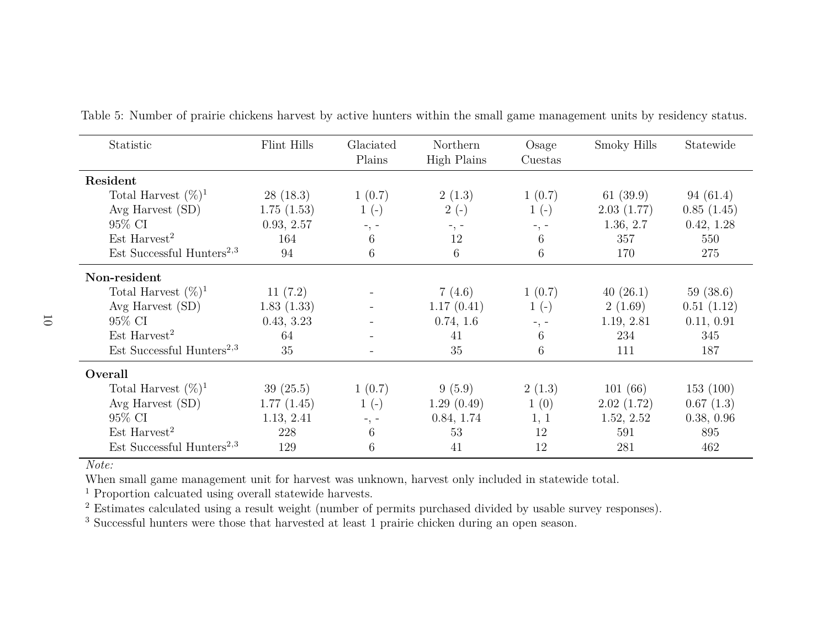| Statistic                             | Flint Hills | Glaciated<br>Plains | Northern<br>High Plains | Osage<br>Cuestas | Smoky Hills | Statewide  |
|---------------------------------------|-------------|---------------------|-------------------------|------------------|-------------|------------|
| Resident                              |             |                     |                         |                  |             |            |
| Total Harvest $(\%)^1$                | 28(18.3)    | 1(0.7)              | 2(1.3)                  | 1(0.7)           | 61 $(39.9)$ | 94(61.4)   |
| Avg Harvest (SD)                      | 1.75(1.53)  | $1(-)$              | $2(-)$                  | $1(-)$           | 2.03(1.77)  | 0.85(1.45) |
| 95% CI                                | 0.93, 2.57  | $-$ , $-$           | $-$ , $-$               | $-$ , $-$        | 1.36, 2.7   | 0.42, 1.28 |
| Est Harvest <sup>2</sup>              | 164         | 6                   | 12                      | 6                | 357         | 550        |
| Est Successful Hunters <sup>2,3</sup> | 94          | 6                   | 6                       | 6                | 170         | 275        |
| Non-resident                          |             |                     |                         |                  |             |            |
| Total Harvest $(\%)^1$                | 11(7.2)     |                     | 7(4.6)                  | 1(0.7)           | 40(26.1)    | 59(38.6)   |
| Avg Harvest (SD)                      | 1.83(1.33)  |                     | 1.17(0.41)              | $1(-)$           | 2(1.69)     | 0.51(1.12) |
| 95% CI                                | 0.43, 3.23  |                     | 0.74, 1.6               | $-$ , $-$        | 1.19, 2.81  | 0.11, 0.91 |
| $Est\;Harvest^2$                      | 64          |                     | 41                      | 6                | 234         | 345        |
| Est Successful Hunters <sup>2,3</sup> | 35          |                     | 35                      | 6                | 111         | 187        |
| Overall                               |             |                     |                         |                  |             |            |
| Total Harvest $(\%)^1$                | 39(25.5)    | 1(0.7)              | 9(5.9)                  | 2(1.3)           | 101(66)     | 153(100)   |
| Avg Harvest (SD)                      | 1.77(1.45)  | $1(-)$              | 1.29(0.49)              | 1(0)             | 2.02(1.72)  | 0.67(1.3)  |
| 95% CI                                | 1.13, 2.41  | $-$ , $-$           | 0.84, 1.74              | 1, 1             | 1.52, 2.52  | 0.38, 0.96 |
| $Est$ Harvest <sup>2</sup>            | 228         | 6                   | 53                      | 12               | 591         | 895        |
| Est Successful Hunters <sup>2,3</sup> | 129         | 6                   | 41                      | 12               | 281         | 462        |

Table 5: Number of prairie chickens harvest by active hunters within the small game management units by residency status.

When small game management unit for harvest was unknown, harvest only included in statewide total.

<sup>1</sup> Proportion calcuated using overall statewide harvests.

<sup>2</sup> Estimates calculated using a result weight (number of permits purchased divided by usable survey responses).

<sup>3</sup> Successful hunters were those that harvested at least 1 prairie chicken during an open season.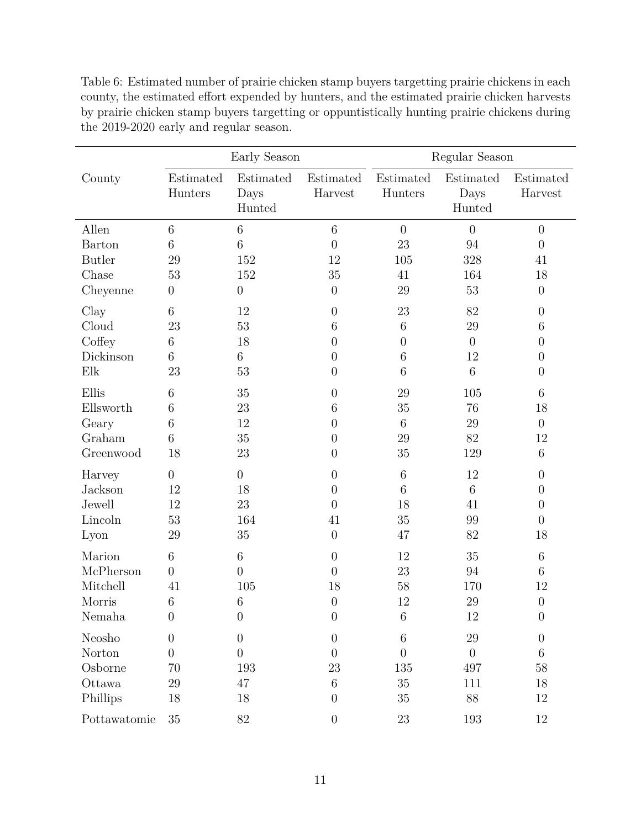|               |                      | Early Season                |                      | Regular Season       |                             |                      |  |
|---------------|----------------------|-----------------------------|----------------------|----------------------|-----------------------------|----------------------|--|
| County        | Estimated<br>Hunters | Estimated<br>Days<br>Hunted | Estimated<br>Harvest | Estimated<br>Hunters | Estimated<br>Days<br>Hunted | Estimated<br>Harvest |  |
| Allen         | $\,6$                | $\,6$                       | $\,6$                | $\overline{0}$       | $\overline{0}$              | $\overline{0}$       |  |
| <b>Barton</b> | $\,6$                | $\sqrt{6}$                  | $\overline{0}$       | 23                   | 94                          | $\overline{0}$       |  |
| <b>Butler</b> | 29                   | 152                         | 12                   | 105                  | 328                         | 41                   |  |
| Chase         | 53                   | 152                         | 35                   | 41                   | 164                         | 18                   |  |
| Cheyenne      | $\boldsymbol{0}$     | $\boldsymbol{0}$            | $\overline{0}$       | 29                   | 53                          | $\overline{0}$       |  |
| Clay          | 6                    | 12                          | $\overline{0}$       | 23                   | 82                          | $\theta$             |  |
| Cloud         | 23                   | 53                          | 6                    | $\,6\,$              | 29                          | 6                    |  |
| Coffey        | 6                    | 18                          | $\overline{0}$       | $\boldsymbol{0}$     | $\overline{0}$              | $\overline{0}$       |  |
| Dickinson     | 6                    | $\,6$                       | $\overline{0}$       | $6\phantom{.}6$      | 12                          | $\boldsymbol{0}$     |  |
| Elk           | 23                   | $53\,$                      | $\overline{0}$       | 6                    | 6                           | $\overline{0}$       |  |
| Ellis         | 6                    | $35\,$                      | $\overline{0}$       | 29                   | 105                         | 6                    |  |
| Ellsworth     | 6                    | 23                          | 6                    | 35                   | 76                          | 18                   |  |
| Geary         | 6                    | 12                          | $\overline{0}$       | $6\phantom{.}6$      | 29                          | $\overline{0}$       |  |
| Graham        | 6                    | $35\,$                      | $\overline{0}$       | 29                   | 82                          | 12                   |  |
| Greenwood     | 18                   | 23                          | $\overline{0}$       | 35                   | 129                         | 6                    |  |
| Harvey        | $\boldsymbol{0}$     | $\boldsymbol{0}$            | $\overline{0}$       | $6\phantom{.}6$      | 12                          | $\overline{0}$       |  |
| Jackson       | 12                   | 18                          | $\overline{0}$       | 6                    | $\,6$                       | $\theta$             |  |
| Jewell        | 12                   | 23                          | $\theta$             | 18                   | 41                          | $\overline{0}$       |  |
| Lincoln       | 53                   | 164                         | 41                   | $35\,$               | 99                          | $\overline{0}$       |  |
| Lyon          | 29                   | 35                          | $\overline{0}$       | 47                   | 82                          | 18                   |  |
| Marion        | $6\phantom{.}6$      | $\,6$                       | $\overline{0}$       | 12                   | $35\,$                      | $\,6\,$              |  |
| McPherson     | $\overline{0}$       | $\overline{0}$              | $\boldsymbol{0}$     | 23                   | 94                          | $\,6\,$              |  |
| Mitchell      | 41                   | 105                         | 18                   | 58                   | 170                         | 12                   |  |
| Morris        | $\boldsymbol{6}$     | $\boldsymbol{6}$            | $\theta$             | 12                   | 29                          | $\boldsymbol{0}$     |  |
| Nemaha        | $\overline{0}$       | $\boldsymbol{0}$            | $\overline{0}$       | $\,6\,$              | $12\,$                      | $\boldsymbol{0}$     |  |
| Neosho        | $\boldsymbol{0}$     | $\boldsymbol{0}$            | $\overline{0}$       | $6\phantom{.}6$      | 29                          | $\overline{0}$       |  |
| Norton        | $\overline{0}$       | $\boldsymbol{0}$            | $\overline{0}$       | $\overline{0}$       | $\overline{0}$              | $\,6$                |  |
| Osborne       | 70                   | 193                         | 23                   | 135                  | 497                         | 58                   |  |
| Ottawa        | 29                   | 47                          | $\,6$                | $35\,$               | 111                         | 18                   |  |
| Phillips      | 18                   | 18                          | $\theta$             | 35                   | 88                          | 12                   |  |
| Pottawatomie  | $35\,$               | $82\,$                      | $\overline{0}$       | $23\,$               | 193                         | 12                   |  |

Table 6: Estimated number of prairie chicken stamp buyers targetting prairie chickens in each county, the estimated effort expended by hunters, and the estimated prairie chicken harvests by prairie chicken stamp buyers targetting or oppuntistically hunting prairie chickens during the 2019-2020 early and regular season.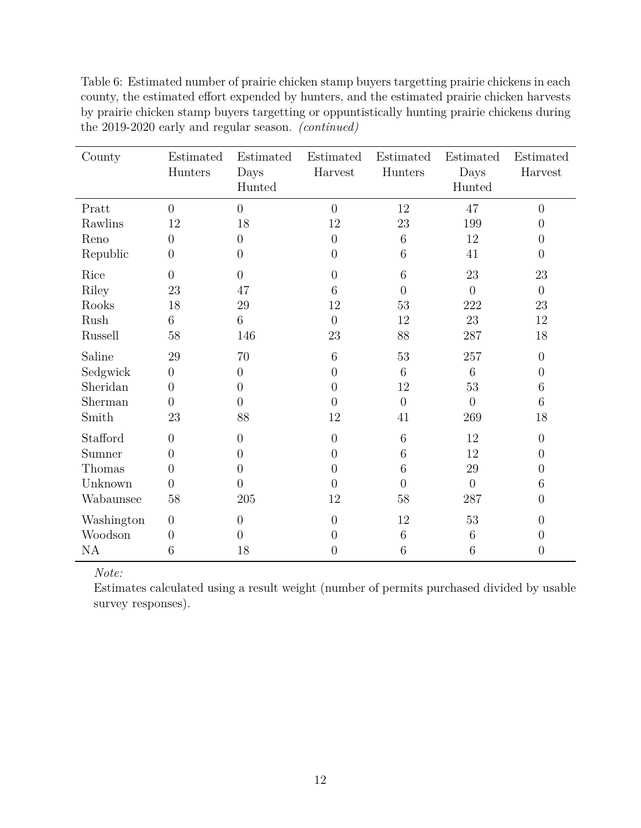| County     | Estimated<br>Hunters | Estimated<br>Days | Estimated<br>Harvest | Estimated<br>Hunters | Estimated<br>Days | Estimated<br>Harvest |
|------------|----------------------|-------------------|----------------------|----------------------|-------------------|----------------------|
|            |                      | Hunted            |                      |                      | Hunted            |                      |
| Pratt      | $\overline{0}$       | $\overline{0}$    | $\overline{0}$       | 12                   | 47                | $\overline{0}$       |
| Rawlins    | 12                   | 18                | 12                   | 23                   | 199               | $\overline{0}$       |
| Reno       | $\overline{0}$       | $\overline{0}$    | $\overline{0}$       | 6                    | 12                | $\overline{0}$       |
| Republic   | $\overline{0}$       | $\overline{0}$    | $\overline{0}$       | 6                    | 41                | $\overline{0}$       |
| Rice       | $\overline{0}$       | $\overline{0}$    | $\overline{0}$       | 6                    | 23                | 23                   |
| Riley      | 23                   | 47                | 6                    | $\overline{0}$       | $\overline{0}$    | $\overline{0}$       |
| Rooks      | 18                   | 29                | 12                   | 53                   | 222               | 23                   |
| Rush       | 6                    | 6                 | $\overline{0}$       | 12                   | 23                | 12                   |
| Russell    | 58                   | 146               | 23                   | 88                   | 287               | 18                   |
| Saline     | 29                   | 70                | 6                    | 53                   | 257               | $\theta$             |
| Sedgwick   | $\boldsymbol{0}$     | $\overline{0}$    | $\overline{0}$       | 6                    | 6                 | $\overline{0}$       |
| Sheridan   | $\overline{0}$       | $\overline{0}$    | $\overline{0}$       | 12                   | $53\,$            | 6                    |
| Sherman    | $\overline{0}$       | $\overline{0}$    | $\overline{0}$       | $\overline{0}$       | $\overline{0}$    | 6                    |
| Smith      | 23                   | 88                | 12                   | 41                   | 269               | 18                   |
| Stafford   | $\overline{0}$       | $\overline{0}$    | $\overline{0}$       | 6                    | 12                | $\overline{0}$       |
| Sumner     | $\overline{0}$       | $\overline{0}$    | $\overline{0}$       | 6                    | 12                | $\overline{0}$       |
| Thomas     | $\overline{0}$       | $\overline{0}$    | $\overline{0}$       | 6                    | $29\,$            | $\overline{0}$       |
| Unknown    | $\overline{0}$       | $\overline{0}$    | $\overline{0}$       | $\theta$             | $\overline{0}$    | 6                    |
| Wabaunsee  | 58                   | 205               | 12                   | 58                   | 287               | $\overline{0}$       |
| Washington | $\boldsymbol{0}$     | $\theta$          | $\overline{0}$       | 12                   | $53\,$            | $\overline{0}$       |
| Woodson    | $\overline{0}$       | $\overline{0}$    | $\overline{0}$       | 6                    | 6                 | $\overline{0}$       |
| <b>NA</b>  | 6                    | 18                | $\overline{0}$       | 6                    | 6                 | $\overline{0}$       |

Table 6: Estimated number of prairie chicken stamp buyers targetting prairie chickens in each county, the estimated effort expended by hunters, and the estimated prairie chicken harvests by prairie chicken stamp buyers targetting or oppuntistically hunting prairie chickens during the 2019-2020 early and regular season. *(continued)*

Estimates calculated using a result weight (number of permits purchased divided by usable survey responses).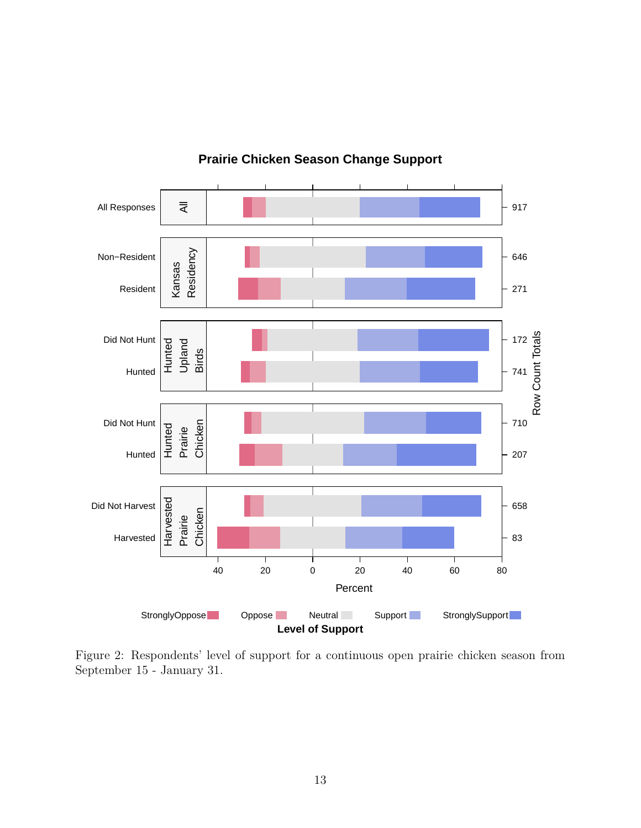

### **Prairie Chicken Season Change Support**

Figure 2: Respondents' level of support for a continuous open prairie chicken season from September 15 - January 31.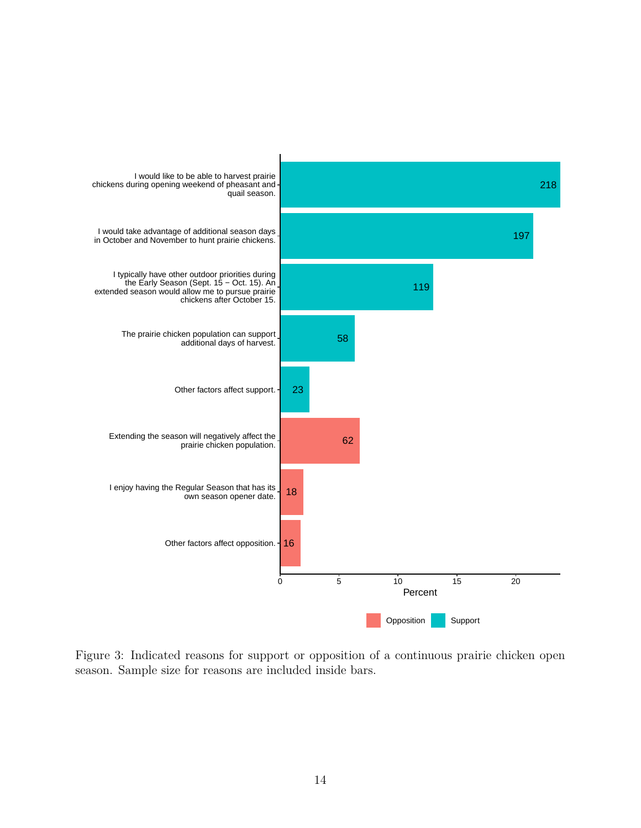

Figure 3: Indicated reasons for support or opposition of a continuous prairie chicken open season. Sample size for reasons are included inside bars.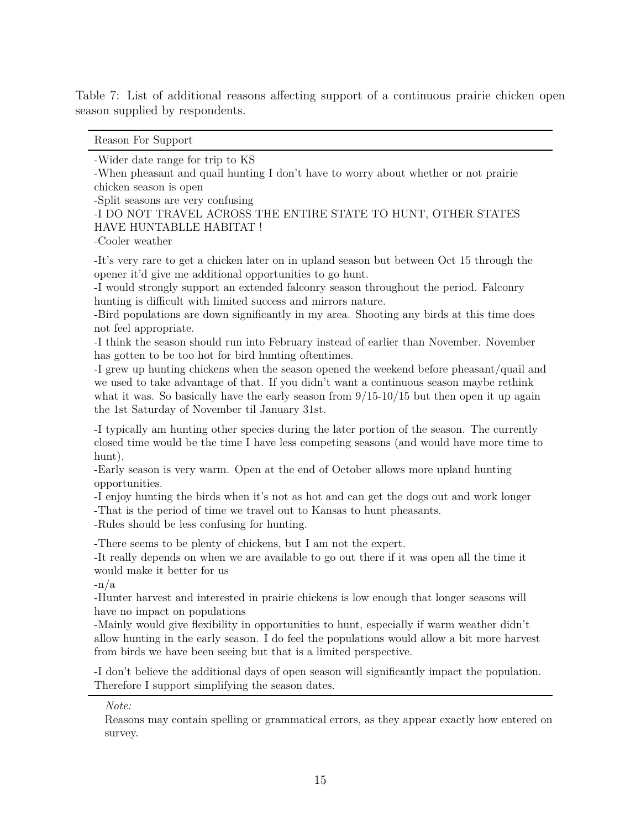Table 7: List of additional reasons affecting support of a continuous prairie chicken open season supplied by respondents.

Reason For Support

-Wider date range for trip to KS

-When pheasant and quail hunting I don't have to worry about whether or not prairie chicken season is open

-Split seasons are very confusing

-I DO NOT TRAVEL ACROSS THE ENTIRE STATE TO HUNT, OTHER STATES HAVE HUNTABLLE HABITAT !

-Cooler weather

-It's very rare to get a chicken later on in upland season but between Oct 15 through the opener it'd give me additional opportunities to go hunt.

-I would strongly support an extended falconry season throughout the period. Falconry hunting is difficult with limited success and mirrors nature.

-Bird populations are down significantly in my area. Shooting any birds at this time does not feel appropriate.

-I think the season should run into February instead of earlier than November. November has gotten to be too hot for bird hunting oftentimes.

-I grew up hunting chickens when the season opened the weekend before pheasant/quail and we used to take advantage of that. If you didn't want a continuous season maybe rethink what it was. So basically have the early season from  $9/15$ -10/15 but then open it up again the 1st Saturday of November til January 31st.

-I typically am hunting other species during the later portion of the season. The currently closed time would be the time I have less competing seasons (and would have more time to hunt).

-Early season is very warm. Open at the end of October allows more upland hunting opportunities.

-I enjoy hunting the birds when it's not as hot and can get the dogs out and work longer -That is the period of time we travel out to Kansas to hunt pheasants.

-Rules should be less confusing for hunting.

-There seems to be plenty of chickens, but I am not the expert.

-It really depends on when we are available to go out there if it was open all the time it would make it better for us

-n/a

-Hunter harvest and interested in prairie chickens is low enough that longer seasons will have no impact on populations

-Mainly would give flexibility in opportunities to hunt, especially if warm weather didn't allow hunting in the early season. I do feel the populations would allow a bit more harvest from birds we have been seeing but that is a limited perspective.

-I don't believe the additional days of open season will significantly impact the population. Therefore I support simplifying the season dates.

*Note:*

Reasons may contain spelling or grammatical errors, as they appear exactly how entered on survey.